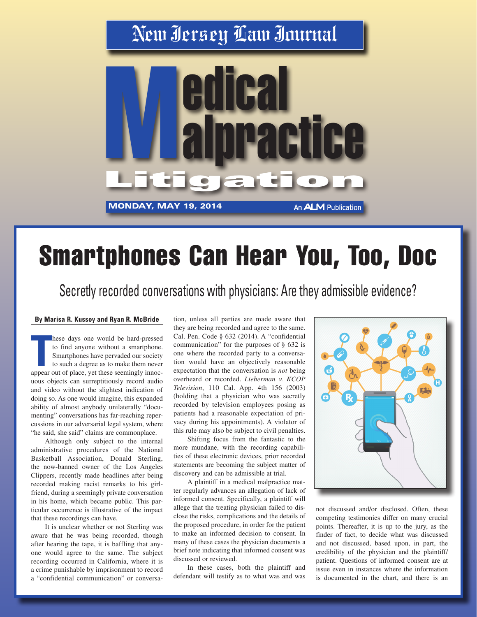## New Jersey Law Journal



## Smartphones Can Hear You, Too, Doc

Secretly recorded conversations with physicians: Are they admissible evidence?

## **By Marisa R. Kussoy and Ryan R. McBride**

**These days one would be hard-pressed**<br>to find anyone without a smartphone.<br>Smartphones have pervaded our society<br>to such a degree as to make them never<br>appear out of place, yet these seemingly innochese days one would be hard-pressed to find anyone without a smartphone. Smartphones have pervaded our society to such a degree as to make them never uous objects can surreptitiously record audio and video without the slightest indication of doing so. As one would imagine, this expanded ability of almost anybody unilaterally "documenting" conversations has far-reaching repercussions in our adversarial legal system, where "he said, she said" claims are commonplace.

Although only subject to the internal administrative procedures of the National Basketball Association, Donald Sterling, the now-banned owner of the Los Angeles Clippers, recently made headlines after being recorded making racist remarks to his girlfriend, during a seemingly private conversation in his home, which became public. This particular occurrence is illustrative of the impact that these recordings can have.

It is unclear whether or not Sterling was aware that he was being recorded, though after hearing the tape, it is baffling that anyone would agree to the same. The subject recording occurred in California, where it is a crime punishable by imprisonment to record a "confidential communication" or conversation, unless all parties are made aware that they are being recorded and agree to the same. Cal. Pen. Code § 632 (2014). A "confidential communication" for the purposes of § 632 is one where the recorded party to a conversation would have an objectively reasonable expectation that the conversation is *not* being overheard or recorded. *Lieberman v. KCOP Television*, 110 Cal. App. 4th 156 (2003) (holding that a physician who was secretly recorded by television employees posing as patients had a reasonable expectation of privacy during his appointments). A violator of this rule may also be subject to civil penalties.

Shifting focus from the fantastic to the more mundane, with the recording capabilities of these electronic devices, prior recorded statements are becoming the subject matter of discovery and can be admissible at trial.

A plaintiff in a medical malpractice matter regularly advances an allegation of lack of informed consent. Specifically, a plaintiff will allege that the treating physician failed to disclose the risks, complications and the details of the proposed procedure, in order for the patient to make an informed decision to consent. In many of these cases the physician documents a brief note indicating that informed consent was discussed or reviewed.

In these cases, both the plaintiff and defendant will testify as to what was and was



not discussed and/or disclosed. Often, these competing testimonies differ on many crucial points. Thereafter, it is up to the jury, as the finder of fact, to decide what was discussed and not discussed, based upon, in part, the credibility of the physician and the plaintiff/ patient. Questions of informed consent are at issue even in instances where the information is documented in the chart, and there is an